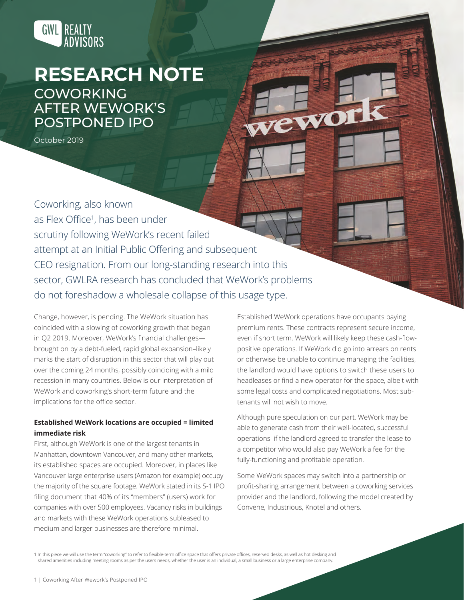

# **RESEARCH NOTE** COWORKING

AFTER WEWORK'S POSTPONED IPO

October 2019

Coworking, also known as Flex Office<sup>1</sup> , has been under scrutiny following WeWork's recent failed attempt at an Initial Public Offering and subsequent CEO resignation. From our long-standing research into this sector, GWLRA research has concluded that WeWork's problems do not foreshadow a wholesale collapse of this usage type.

Change, however, is pending. The WeWork situation has coincided with a slowing of coworking growth that began in Q2 2019. Moreover, WeWork's financial challenges brought on by a debt-fueled, rapid global expansion–likely marks the start of disruption in this sector that will play out over the coming 24 months, possibly coinciding with a mild recession in many countries. Below is our interpretation of WeWork and coworking's short-term future and the implications for the office sector.

## **Established WeWork locations are occupied = limited immediate risk**

First, although WeWork is one of the largest tenants in Manhattan, downtown Vancouver, and many other markets, its established spaces are occupied. Moreover, in places like Vancouver large enterprise users (Amazon for example) occupy the majority of the square footage. WeWork stated in its S-1 IPO filing document that 40% of its "members" (users) work for companies with over 500 employees. Vacancy risks in buildings and markets with these WeWork operations subleased to medium and larger businesses are therefore minimal.

Established WeWork operations have occupants paying premium rents. These contracts represent secure income, even if short term. WeWork will likely keep these cash-flowpositive operations. If WeWork did go into arrears on rents or otherwise be unable to continue managing the facilities, the landlord would have options to switch these users to headleases or find a new operator for the space, albeit with some legal costs and complicated negotiations. Most subtenants will not wish to move.

wewor

Although pure speculation on our part, WeWork may be able to generate cash from their well-located, successful operations–if the landlord agreed to transfer the lease to a competitor who would also pay WeWork a fee for the fully-functioning and profitable operation.

Some WeWork spaces may switch into a partnership or profit-sharing arrangement between a coworking services provider and the landlord, following the model created by Convene, Industrious, Knotel and others.

1 In this piece we will use the term "coworking" to refer to flexible-term office space that offers private offices, reserved desks, as well as hot desking and shared amenities including meeting rooms as per the users needs, whether the user is an individual, a small business or a large enterprise company.